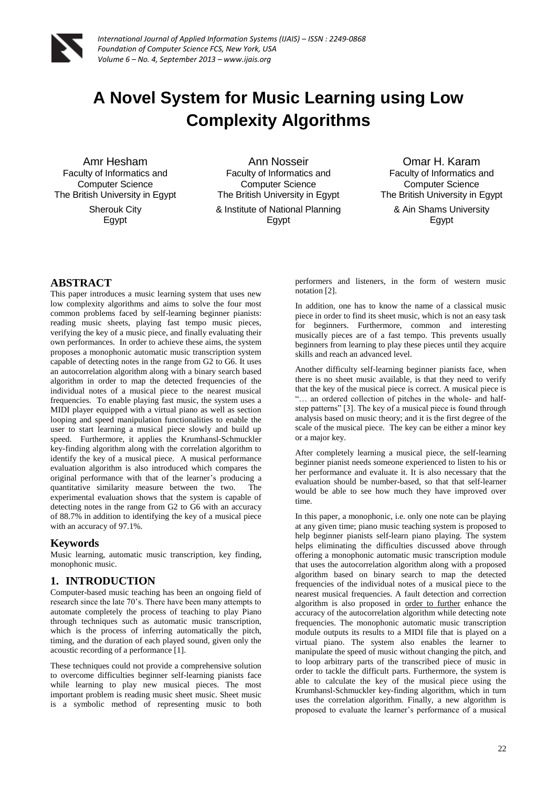

# **A Novel System for Music Learning using Low Complexity Algorithms**

Amr Hesham Faculty of Informatics and Computer Science The British University in Egypt Sherouk City Egypt

Ann Nosseir Faculty of Informatics and Computer Science The British University in Egypt & Institute of National Planning Egypt

Omar H. Karam Faculty of Informatics and Computer Science The British University in Egypt & Ain Shams University Egypt

# **ABSTRACT**

This paper introduces a music learning system that uses new low complexity algorithms and aims to solve the four most common problems faced by self-learning beginner pianists: reading music sheets, playing fast tempo music pieces, verifying the key of a music piece, and finally evaluating their own performances. In order to achieve these aims, the system proposes a monophonic automatic music transcription system capable of detecting notes in the range from G2 to G6. It uses an autocorrelation algorithm along with a binary search based algorithm in order to map the detected frequencies of the individual notes of a musical piece to the nearest musical frequencies. To enable playing fast music, the system uses a MIDI player equipped with a virtual piano as well as section looping and speed manipulation functionalities to enable the user to start learning a musical piece slowly and build up speed. Furthermore, it applies the Krumhansl-Schmuckler key-finding algorithm along with the correlation algorithm to identify the key of a musical piece. A musical performance evaluation algorithm is also introduced which compares the original performance with that of the learner's producing a quantitative similarity measure between the two. The experimental evaluation shows that the system is capable of detecting notes in the range from G2 to G6 with an accuracy of 88.7% in addition to identifying the key of a musical piece with an accuracy of 97.1%.

### **Keywords**

Music learning, automatic music transcription, key finding, monophonic music.

# **1. INTRODUCTION**

Computer-based music teaching has been an ongoing field of research since the late 70's. There have been many attempts to automate completely the process of teaching to play Piano through techniques such as automatic music transcription, which is the process of inferring automatically the pitch, timing, and the duration of each played sound, given only the acoustic recording of a performance [1].

These techniques could not provide a comprehensive solution to overcome difficulties beginner self-learning pianists face while learning to play new musical pieces. The most important problem is reading music sheet music. Sheet music is a symbolic method of representing music to both

performers and listeners, in the form of western music notation [2].

In addition, one has to know the name of a classical music piece in order to find its sheet music, which is not an easy task for beginners. Furthermore, common and interesting musically pieces are of a fast tempo. This prevents usually beginners from learning to play these pieces until they acquire skills and reach an advanced level.

Another difficulty self-learning beginner pianists face, when there is no sheet music available, is that they need to verify that the key of the musical piece is correct. A musical piece is "… an ordered collection of pitches in the whole- and halfstep patterns" [3]. The key of a musical piece is found through analysis based on music theory; and it is the first degree of the scale of the musical piece. The key can be either a minor key or a major key.

After completely learning a musical piece, the self-learning beginner pianist needs someone experienced to listen to his or her performance and evaluate it. It is also necessary that the evaluation should be number-based, so that that self-learner would be able to see how much they have improved over time.

In this paper, a monophonic, i.e. only one note can be playing at any given time; piano music teaching system is proposed to help beginner pianists self-learn piano playing. The system helps eliminating the difficulties discussed above through offering a monophonic automatic music transcription module that uses the autocorrelation algorithm along with a proposed algorithm based on binary search to map the detected frequencies of the individual notes of a musical piece to the nearest musical frequencies. A fault detection and correction algorithm is also proposed in order to further enhance the accuracy of the autocorrelation algorithm while detecting note frequencies. The monophonic automatic music transcription module outputs its results to a MIDI file that is played on a virtual piano. The system also enables the learner to manipulate the speed of music without changing the pitch, and to loop arbitrary parts of the transcribed piece of music in order to tackle the difficult parts. Furthermore, the system is able to calculate the key of the musical piece using the Krumhansl-Schmuckler key-finding algorithm, which in turn uses the correlation algorithm. Finally, a new algorithm is proposed to evaluate the learner's performance of a musical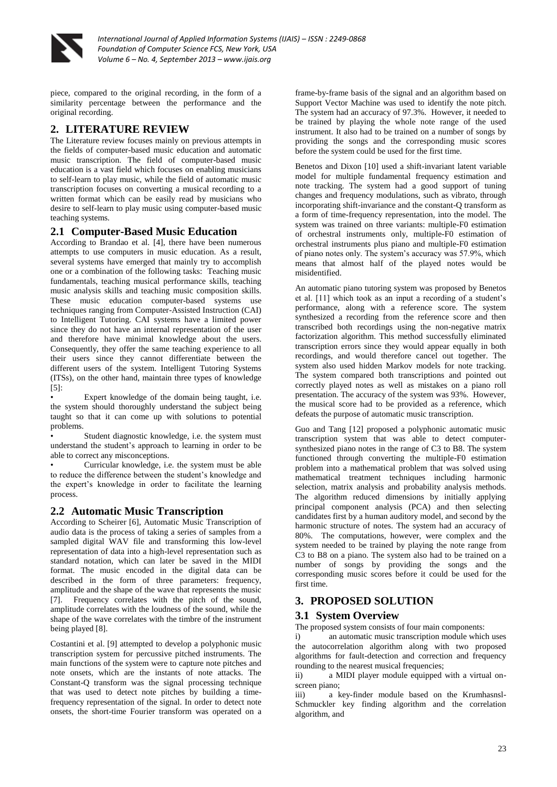

piece, compared to the original recording, in the form of a similarity percentage between the performance and the original recording.

# **2. LITERATURE REVIEW**

The Literature review focuses mainly on previous attempts in the fields of computer-based music education and automatic music transcription. The field of computer-based music education is a vast field which focuses on enabling musicians to self-learn to play music, while the field of automatic music transcription focuses on converting a musical recording to a written format which can be easily read by musicians who desire to self-learn to play music using computer-based music teaching systems.

# **2.1 Computer-Based Music Education**

According to Brandao et al. [4], there have been numerous attempts to use computers in music education. As a result, several systems have emerged that mainly try to accomplish one or a combination of the following tasks: Teaching music fundamentals, teaching musical performance skills, teaching music analysis skills and teaching music composition skills. These music education computer-based systems use techniques ranging from Computer-Assisted Instruction (CAI) to Intelligent Tutoring. CAI systems have a limited power since they do not have an internal representation of the user and therefore have minimal knowledge about the users. Consequently, they offer the same teaching experience to all their users since they cannot differentiate between the different users of the system. Intelligent Tutoring Systems (ITSs), on the other hand, maintain three types of knowledge [5]:

Expert knowledge of the domain being taught, i.e. the system should thoroughly understand the subject being taught so that it can come up with solutions to potential problems.

Student diagnostic knowledge, i.e. the system must understand the student's approach to learning in order to be able to correct any misconceptions.

• Curricular knowledge, i.e. the system must be able to reduce the difference between the student's knowledge and the expert's knowledge in order to facilitate the learning process.

### **2.2 Automatic Music Transcription**

According to Scheirer [6], Automatic Music Transcription of audio data is the process of taking a series of samples from a sampled digital WAV file and transforming this low-level representation of data into a high-level representation such as standard notation, which can later be saved in the MIDI format. The music encoded in the digital data can be described in the form of three parameters: frequency, amplitude and the shape of the wave that represents the music [7]. Frequency correlates with the pitch of the sound, amplitude correlates with the loudness of the sound, while the shape of the wave correlates with the timbre of the instrument being played [8].

Costantini et al. [9] attempted to develop a polyphonic music transcription system for percussive pitched instruments. The main functions of the system were to capture note pitches and note onsets, which are the instants of note attacks. The Constant-Q transform was the signal processing technique that was used to detect note pitches by building a timefrequency representation of the signal. In order to detect note onsets, the short-time Fourier transform was operated on a

frame-by-frame basis of the signal and an algorithm based on Support Vector Machine was used to identify the note pitch. The system had an accuracy of 97.3%. However, it needed to be trained by playing the whole note range of the used instrument. It also had to be trained on a number of songs by providing the songs and the corresponding music scores before the system could be used for the first time.

Benetos and Dixon [10] used a shift-invariant latent variable model for multiple fundamental frequency estimation and note tracking. The system had a good support of tuning changes and frequency modulations, such as vibrato, through incorporating shift-invariance and the constant-Q transform as a form of time-frequency representation, into the model. The system was trained on three variants: multiple-F0 estimation of orchestral instruments only, multiple-F0 estimation of orchestral instruments plus piano and multiple-F0 estimation of piano notes only. The system's accuracy was 57.9%, which means that almost half of the played notes would be misidentified.

An automatic piano tutoring system was proposed by Benetos et al. [11] which took as an input a recording of a student's performance, along with a reference score. The system synthesized a recording from the reference score and then transcribed both recordings using the non-negative matrix factorization algorithm. This method successfully eliminated transcription errors since they would appear equally in both recordings, and would therefore cancel out together. The system also used hidden Markov models for note tracking. The system compared both transcriptions and pointed out correctly played notes as well as mistakes on a piano roll presentation. The accuracy of the system was 93%. However, the musical score had to be provided as a reference, which defeats the purpose of automatic music transcription.

Guo and Tang [12] proposed a polyphonic automatic music transcription system that was able to detect computersynthesized piano notes in the range of C3 to B8. The system functioned through converting the multiple-F0 estimation problem into a mathematical problem that was solved using mathematical treatment techniques including harmonic selection, matrix analysis and probability analysis methods. The algorithm reduced dimensions by initially applying principal component analysis (PCA) and then selecting candidates first by a human auditory model, and second by the harmonic structure of notes. The system had an accuracy of 80%. The computations, however, were complex and the system needed to be trained by playing the note range from C3 to B8 on a piano. The system also had to be trained on a number of songs by providing the songs and the corresponding music scores before it could be used for the first time.

### **3. PROPOSED SOLUTION**

### **3.1 System Overview**

The proposed system consists of four main components:

i) an automatic music transcription module which uses the autocorrelation algorithm along with two proposed algorithms for fault-detection and correction and frequency rounding to the nearest musical frequencies;

ii) a MIDI player module equipped with a virtual onscreen piano;

iii) a key-finder module based on the Krumhasnsl-Schmuckler key finding algorithm and the correlation algorithm, and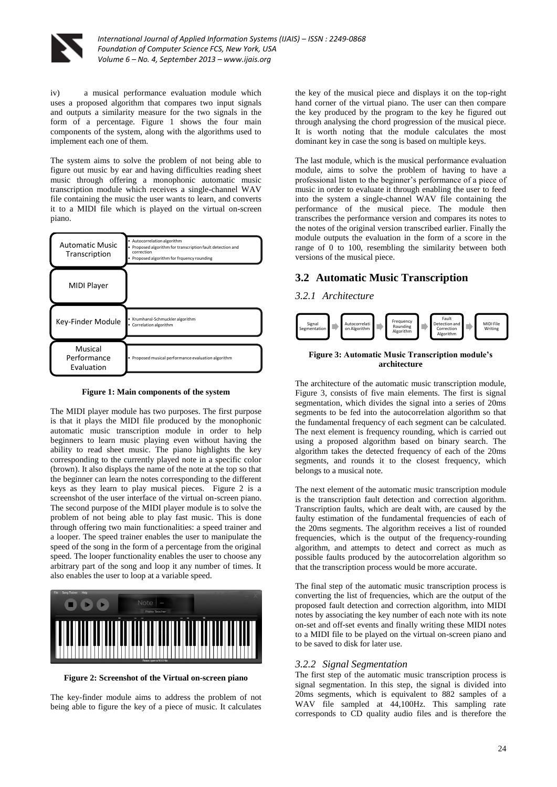

iv) a musical performance evaluation module which uses a proposed algorithm that compares two input signals and outputs a similarity measure for the two signals in the form of a percentage. Figure 1 shows the four main components of the system, along with the algorithms used to implement each one of them.

The system aims to solve the problem of not being able to figure out music by ear and having difficulties reading sheet music through offering a monophonic automatic music transcription module which receives a single-channel WAV file containing the music the user wants to learn, and converts it to a MIDI file which is played on the virtual on-screen piano.



**Figure 1: Main components of the system**

The MIDI player module has two purposes. The first purpose is that it plays the MIDI file produced by the monophonic automatic music transcription module in order to help beginners to learn music playing even without having the ability to read sheet music. The piano highlights the key corresponding to the currently played note in a specific color (brown). It also displays the name of the note at the top so that the beginner can learn the notes corresponding to the different keys as they learn to play musical pieces. Figure 2 is a screenshot of the user interface of the virtual on-screen piano. The second purpose of the MIDI player module is to solve the problem of not being able to play fast music. This is done through offering two main functionalities: a speed trainer and a looper. The speed trainer enables the user to manipulate the speed of the song in the form of a percentage from the original speed. The looper functionality enables the user to choose any arbitrary part of the song and loop it any number of times. It also enables the user to loop at a variable speed.



**Figure 2: Screenshot of the Virtual on-screen piano**

The key-finder module aims to address the problem of not being able to figure the key of a piece of music. It calculates

the key of the musical piece and displays it on the top-right hand corner of the virtual piano. The user can then compare the key produced by the program to the key he figured out through analysing the chord progression of the musical piece. It is worth noting that the module calculates the most dominant key in case the song is based on multiple keys.

The last module, which is the musical performance evaluation module, aims to solve the problem of having to have a professional listen to the beginner's performance of a piece of music in order to evaluate it through enabling the user to feed into the system a single-channel WAV file containing the performance of the musical piece. The module then transcribes the performance version and compares its notes to the notes of the original version transcribed earlier. Finally the module outputs the evaluation in the form of a score in the range of 0 to 100, resembling the similarity between both versions of the musical piece.

### **3.2 Automatic Music Transcription**

### *3.2.1 Architecture*



### **Figure 3: Automatic Music Transcription module's architecture**

The architecture of the automatic music transcription module, Figure 3, consists of five main elements. The first is signal segmentation, which divides the signal into a series of 20ms segments to be fed into the autocorrelation algorithm so that the fundamental frequency of each segment can be calculated. The next element is frequency rounding, which is carried out using a proposed algorithm based on binary search. The algorithm takes the detected frequency of each of the 20ms segments, and rounds it to the closest frequency, which belongs to a musical note.

The next element of the automatic music transcription module is the transcription fault detection and correction algorithm. Transcription faults, which are dealt with, are caused by the faulty estimation of the fundamental frequencies of each of the 20ms segments. The algorithm receives a list of rounded frequencies, which is the output of the frequency-rounding algorithm, and attempts to detect and correct as much as possible faults produced by the autocorrelation algorithm so that the transcription process would be more accurate.

The final step of the automatic music transcription process is converting the list of frequencies, which are the output of the proposed fault detection and correction algorithm, into MIDI notes by associating the key number of each note with its note on-set and off-set events and finally writing these MIDI notes to a MIDI file to be played on the virtual on-screen piano and to be saved to disk for later use.

### *3.2.2 Signal Segmentation*

The first step of the automatic music transcription process is signal segmentation. In this step, the signal is divided into 20ms segments, which is equivalent to 882 samples of a WAV file sampled at 44,100Hz. This sampling rate corresponds to CD quality audio files and is therefore the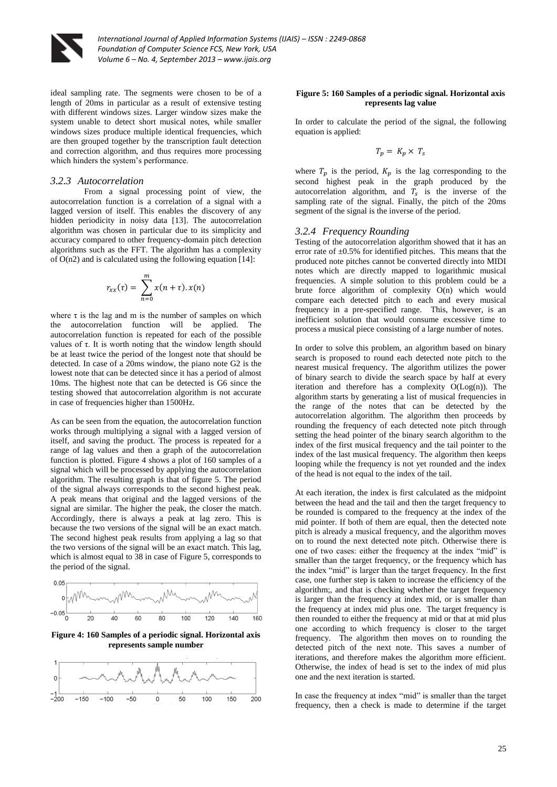

ideal sampling rate. The segments were chosen to be of a length of 20ms in particular as a result of extensive testing with different windows sizes. Larger window sizes make the system unable to detect short musical notes, while smaller windows sizes produce multiple identical frequencies, which are then grouped together by the transcription fault detection and correction algorithm, and thus requires more processing which hinders the system's performance.

### *3.2.3 Autocorrelation*

From a signal processing point of view, the autocorrelation function is a correlation of a signal with a lagged version of itself. This enables the discovery of any hidden periodicity in noisy data [13]. The autocorrelation algorithm was chosen in particular due to its simplicity and accuracy compared to other frequency-domain pitch detection algorithms such as the FFT. The algorithm has a complexity of  $O(n2)$  and is calculated using the following equation [14]:

$$
r_{xx}(\tau) = \sum_{n=0}^{m} x(n+\tau) . x(n)
$$

where  $\tau$  is the lag and m is the number of samples on which the autocorrelation function will be applied. The autocorrelation function is repeated for each of the possible values of τ. It is worth noting that the window length should be at least twice the period of the longest note that should be detected. In case of a 20ms window, the piano note G2 is the lowest note that can be detected since it has a period of almost 10ms. The highest note that can be detected is G6 since the testing showed that autocorrelation algorithm is not accurate in case of frequencies higher than 1500Hz.

As can be seen from the equation, the autocorrelation function works through multiplying a signal with a lagged version of itself, and saving the product. The process is repeated for a range of lag values and then a graph of the autocorrelation function is plotted. Figure 4 shows a plot of 160 samples of a signal which will be processed by applying the autocorrelation algorithm. The resulting graph is that of figure 5. The period of the signal always corresponds to the second highest peak. A peak means that original and the lagged versions of the signal are similar. The higher the peak, the closer the match. Accordingly, there is always a peak at lag zero. This is because the two versions of the signal will be an exact match. The second highest peak results from applying a lag so that the two versions of the signal will be an exact match. This lag, which is almost equal to 38 in case of Figure 5, corresponds to the period of the signal.



**Figure 4: 160 Samples of a periodic signal. Horizontal axis represents sample number**



#### **Figure 5: 160 Samples of a periodic signal. Horizontal axis represents lag value**

In order to calculate the period of the signal, the following equation is applied:

$$
T_p = K_p \times T_s
$$

where  $T_p$  is the period,  $K_p$  is the lag corresponding to the second highest peak in the graph produced by the autocorrelation algorithm, and  $T_s$  is the inverse of the sampling rate of the signal. Finally, the pitch of the 20ms segment of the signal is the inverse of the period.

#### *3.2.4 Frequency Rounding*

Testing of the autocorrelation algorithm showed that it has an error rate of  $\pm 0.5\%$  for identified pitches. This means that the produced note pitches cannot be converted directly into MIDI notes which are directly mapped to logarithmic musical frequencies. A simple solution to this problem could be a brute force algorithm of complexity O(n) which would compare each detected pitch to each and every musical frequency in a pre-specified range. This, however, is an inefficient solution that would consume excessive time to process a musical piece consisting of a large number of notes.

In order to solve this problem, an algorithm based on binary search is proposed to round each detected note pitch to the nearest musical frequency. The algorithm utilizes the power of binary search to divide the search space by half at every iteration and therefore has a complexity  $O(Log(n))$ . The algorithm starts by generating a list of musical frequencies in the range of the notes that can be detected by the autocorrelation algorithm. The algorithm then proceeds by rounding the frequency of each detected note pitch through setting the head pointer of the binary search algorithm to the index of the first musical frequency and the tail pointer to the index of the last musical frequency. The algorithm then keeps looping while the frequency is not yet rounded and the index of the head is not equal to the index of the tail.

At each iteration, the index is first calculated as the midpoint between the head and the tail and then the target frequency to be rounded is compared to the frequency at the index of the mid pointer. If both of them are equal, then the detected note pitch is already a musical frequency, and the algorithm moves on to round the next detected note pitch. Otherwise there is one of two cases: either the frequency at the index "mid" is smaller than the target frequency, or the frequency which has the index "mid" is larger than the target frequency. In the first case, one further step is taken to increase the efficiency of the algorithm;, and that is checking whether the target frequency is larger than the frequency at index mid, or is smaller than the frequency at index mid plus one. The target frequency is then rounded to either the frequency at mid or that at mid plus one according to which frequency is closer to the target frequency. The algorithm then moves on to rounding the detected pitch of the next note. This saves a number of iterations, and therefore makes the algorithm more efficient. Otherwise, the index of head is set to the index of mid plus one and the next iteration is started.

In case the frequency at index "mid" is smaller than the target frequency, then a check is made to determine if the target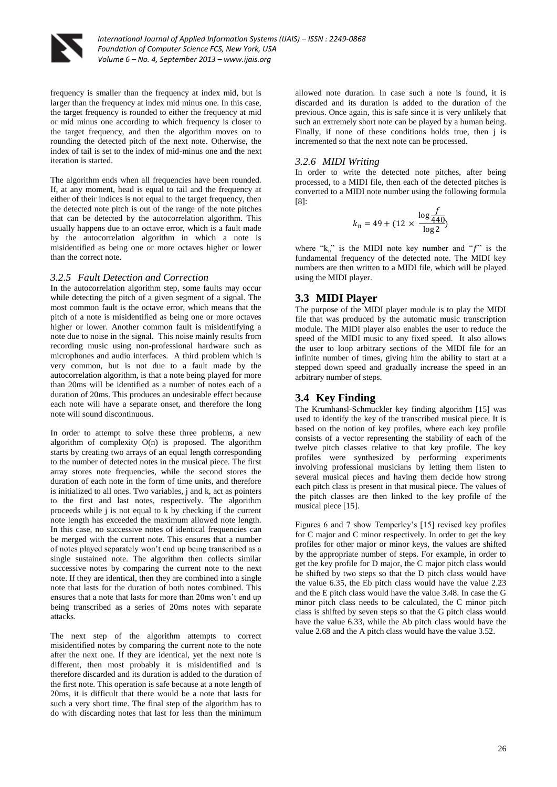

frequency is smaller than the frequency at index mid, but is larger than the frequency at index mid minus one. In this case, the target frequency is rounded to either the frequency at mid or mid minus one according to which frequency is closer to the target frequency, and then the algorithm moves on to rounding the detected pitch of the next note. Otherwise, the index of tail is set to the index of mid-minus one and the next iteration is started.

The algorithm ends when all frequencies have been rounded. If, at any moment, head is equal to tail and the frequency at either of their indices is not equal to the target frequency, then the detected note pitch is out of the range of the note pitches that can be detected by the autocorrelation algorithm. This usually happens due to an octave error, which is a fault made by the autocorrelation algorithm in which a note is misidentified as being one or more octaves higher or lower than the correct note.

### *3.2.5 Fault Detection and Correction*

In the autocorrelation algorithm step, some faults may occur while detecting the pitch of a given segment of a signal. The most common fault is the octave error, which means that the pitch of a note is misidentified as being one or more octaves higher or lower. Another common fault is misidentifying a note due to noise in the signal. This noise mainly results from recording music using non-professional hardware such as microphones and audio interfaces. A third problem which is very common, but is not due to a fault made by the autocorrelation algorithm, is that a note being played for more than 20ms will be identified as a number of notes each of a duration of 20ms. This produces an undesirable effect because each note will have a separate onset, and therefore the long note will sound discontinuous.

In order to attempt to solve these three problems, a new algorithm of complexity O(n) is proposed. The algorithm starts by creating two arrays of an equal length corresponding to the number of detected notes in the musical piece. The first array stores note frequencies, while the second stores the duration of each note in the form of time units, and therefore is initialized to all ones. Two variables, j and k, act as pointers to the first and last notes, respectively. The algorithm proceeds while j is not equal to k by checking if the current note length has exceeded the maximum allowed note length. In this case, no successive notes of identical frequencies can be merged with the current note. This ensures that a number of notes played separately won't end up being transcribed as a single sustained note. The algorithm then collects similar successive notes by comparing the current note to the next note. If they are identical, then they are combined into a single note that lasts for the duration of both notes combined. This ensures that a note that lasts for more than 20ms won't end up being transcribed as a series of 20ms notes with separate attacks.

The next step of the algorithm attempts to correct misidentified notes by comparing the current note to the note after the next one. If they are identical, yet the next note is different, then most probably it is misidentified and is therefore discarded and its duration is added to the duration of the first note. This operation is safe because at a note length of 20ms, it is difficult that there would be a note that lasts for such a very short time. The final step of the algorithm has to do with discarding notes that last for less than the minimum

allowed note duration. In case such a note is found, it is discarded and its duration is added to the duration of the previous. Once again, this is safe since it is very unlikely that such an extremely short note can be played by a human being. Finally, if none of these conditions holds true, then j is incremented so that the next note can be processed.

### *3.2.6 MIDI Writing*

In order to write the detected note pitches, after being processed, to a MIDI file, then each of the detected pitches is converted to a MIDI note number using the following formula [8]:

$$
k_n = 49 + (12 \times \frac{\log \frac{f}{440}}{\log 2})
$$

where " $k_n$ " is the MIDI note key number and " $f$ " is the fundamental frequency of the detected note. The MIDI key numbers are then written to a MIDI file, which will be played using the MIDI player.

### **3.3 MIDI Player**

The purpose of the MIDI player module is to play the MIDI file that was produced by the automatic music transcription module. The MIDI player also enables the user to reduce the speed of the MIDI music to any fixed speed. It also allows the user to loop arbitrary sections of the MIDI file for an infinite number of times, giving him the ability to start at a stepped down speed and gradually increase the speed in an arbitrary number of steps.

### **3.4 Key Finding**

The Krumhansl-Schmuckler key finding algorithm [15] was used to identify the key of the transcribed musical piece. It is based on the notion of key profiles, where each key profile consists of a vector representing the stability of each of the twelve pitch classes relative to that key profile. The key profiles were synthesized by performing experiments involving professional musicians by letting them listen to several musical pieces and having them decide how strong each pitch class is present in that musical piece. The values of the pitch classes are then linked to the key profile of the musical piece [15].

Figures 6 and 7 show Temperley's [15] revised key profiles for C major and C minor respectively. In order to get the key profiles for other major or minor keys, the values are shifted by the appropriate number of steps. For example, in order to get the key profile for D major, the C major pitch class would be shifted by two steps so that the D pitch class would have the value 6.35, the Eb pitch class would have the value 2.23 and the E pitch class would have the value 3.48. In case the G minor pitch class needs to be calculated, the C minor pitch class is shifted by seven steps so that the G pitch class would have the value 6.33, while the Ab pitch class would have the value 2.68 and the A pitch class would have the value 3.52.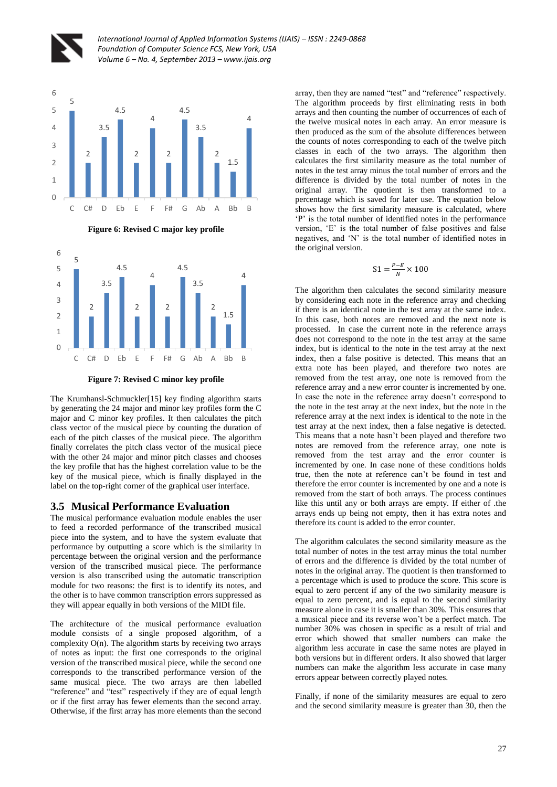



**Figure 6: Revised C major key profile**



**Figure 7: Revised C minor key profile**

The Krumhansl-Schmuckler[15] key finding algorithm starts by generating the 24 major and minor key profiles form the C major and C minor key profiles. It then calculates the pitch class vector of the musical piece by counting the duration of each of the pitch classes of the musical piece. The algorithm finally correlates the pitch class vector of the musical piece with the other 24 major and minor pitch classes and chooses the key profile that has the highest correlation value to be the key of the musical piece, which is finally displayed in the label on the top-right corner of the graphical user interface.

# **3.5 Musical Performance Evaluation**

The musical performance evaluation module enables the user to feed a recorded performance of the transcribed musical piece into the system, and to have the system evaluate that performance by outputting a score which is the similarity in percentage between the original version and the performance version of the transcribed musical piece. The performance version is also transcribed using the automatic transcription module for two reasons: the first is to identify its notes, and the other is to have common transcription errors suppressed as they will appear equally in both versions of the MIDI file.

The architecture of the musical performance evaluation module consists of a single proposed algorithm, of a complexity  $O(n)$ . The algorithm starts by receiving two arrays of notes as input: the first one corresponds to the original version of the transcribed musical piece, while the second one corresponds to the transcribed performance version of the same musical piece. The two arrays are then labelled "reference" and "test" respectively if they are of equal length or if the first array has fewer elements than the second array. Otherwise, if the first array has more elements than the second

array, then they are named "test" and "reference" respectively. The algorithm proceeds by first eliminating rests in both arrays and then counting the number of occurrences of each of the twelve musical notes in each array. An error measure is then produced as the sum of the absolute differences between the counts of notes corresponding to each of the twelve pitch classes in each of the two arrays. The algorithm then calculates the first similarity measure as the total number of notes in the test array minus the total number of errors and the difference is divided by the total number of notes in the original array. The quotient is then transformed to a percentage which is saved for later use. The equation below shows how the first similarity measure is calculated, where 'P' is the total number of identified notes in the performance version, 'E' is the total number of false positives and false negatives, and 'N' is the total number of identified notes in the original version.

$$
S1 = \frac{P - E}{N} \times 100
$$

The algorithm then calculates the second similarity measure by considering each note in the reference array and checking if there is an identical note in the test array at the same index. In this case, both notes are removed and the next note is processed. In case the current note in the reference arrays does not correspond to the note in the test array at the same index, but is identical to the note in the test array at the next index, then a false positive is detected. This means that an extra note has been played, and therefore two notes are removed from the test array, one note is removed from the reference array and a new error counter is incremented by one. In case the note in the reference array doesn't correspond to the note in the test array at the next index, but the note in the reference array at the next index is identical to the note in the test array at the next index, then a false negative is detected. This means that a note hasn't been played and therefore two notes are removed from the reference array, one note is removed from the test array and the error counter is incremented by one. In case none of these conditions holds true, then the note at reference can't be found in test and therefore the error counter is incremented by one and a note is removed from the start of both arrays. The process continues like this until any or both arrays are empty. If either of .the arrays ends up being not empty, then it has extra notes and therefore its count is added to the error counter.

The algorithm calculates the second similarity measure as the total number of notes in the test array minus the total number of errors and the difference is divided by the total number of notes in the original array. The quotient is then transformed to a percentage which is used to produce the score. This score is equal to zero percent if any of the two similarity measure is equal to zero percent, and is equal to the second similarity measure alone in case it is smaller than 30%. This ensures that a musical piece and its reverse won't be a perfect match. The number 30% was chosen in specific as a result of trial and error which showed that smaller numbers can make the algorithm less accurate in case the same notes are played in both versions but in different orders. It also showed that larger numbers can make the algorithm less accurate in case many errors appear between correctly played notes.

Finally, if none of the similarity measures are equal to zero and the second similarity measure is greater than 30, then the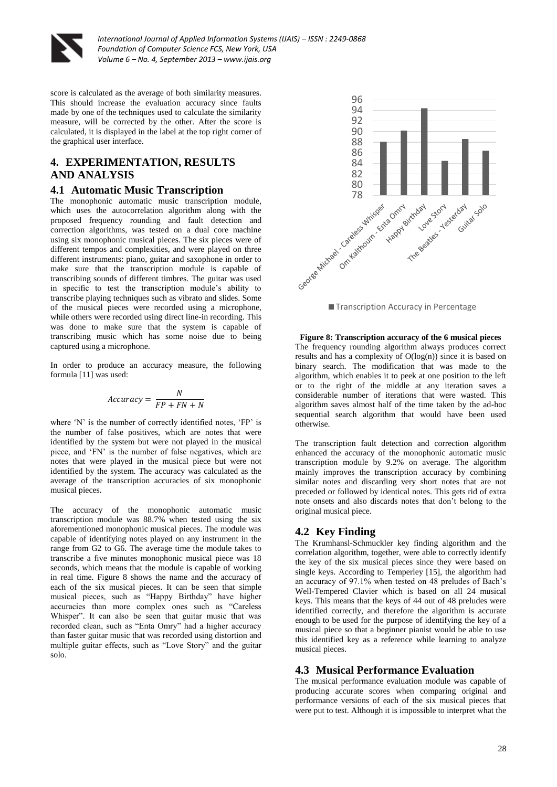

score is calculated as the average of both similarity measures. This should increase the evaluation accuracy since faults made by one of the techniques used to calculate the similarity measure, will be corrected by the other. After the score is calculated, it is displayed in the label at the top right corner of the graphical user interface.

# **4. EXPERIMENTATION, RESULTS AND ANALYSIS**

### **4.1 Automatic Music Transcription**

The monophonic automatic music transcription module, which uses the autocorrelation algorithm along with the proposed frequency rounding and fault detection and correction algorithms, was tested on a dual core machine using six monophonic musical pieces. The six pieces were of different tempos and complexities, and were played on three different instruments: piano, guitar and saxophone in order to make sure that the transcription module is capable of transcribing sounds of different timbres. The guitar was used in specific to test the transcription module's ability to transcribe playing techniques such as vibrato and slides. Some of the musical pieces were recorded using a microphone, while others were recorded using direct line-in recording. This was done to make sure that the system is capable of transcribing music which has some noise due to being captured using a microphone.

In order to produce an accuracy measure, the following formula [11] was used:

$$
Accuracy = \frac{N}{FP + FN + N}
$$

where 'N' is the number of correctly identified notes, 'FP' is the number of false positives, which are notes that were identified by the system but were not played in the musical piece, and 'FN' is the number of false negatives, which are notes that were played in the musical piece but were not identified by the system. The accuracy was calculated as the average of the transcription accuracies of six monophonic musical pieces.

The accuracy of the monophonic automatic music transcription module was 88.7% when tested using the six aforementioned monophonic musical pieces. The module was capable of identifying notes played on any instrument in the range from G2 to G6. The average time the module takes to transcribe a five minutes monophonic musical piece was 18 seconds, which means that the module is capable of working in real time. Figure 8 shows the name and the accuracy of each of the six musical pieces. It can be seen that simple musical pieces, such as "Happy Birthday" have higher accuracies than more complex ones such as "Careless Whisper". It can also be seen that guitar music that was recorded clean, such as "Enta Omry" had a higher accuracy than faster guitar music that was recorded using distortion and multiple guitar effects, such as "Love Story" and the guitar solo.



■ Transcription Accuracy in Percentage

#### **Figure 8: Transcription accuracy of the 6 musical pieces** The frequency rounding algorithm always produces correct

results and has a complexity of  $O(log(n))$  since it is based on binary search. The modification that was made to the algorithm, which enables it to peek at one position to the left or to the right of the middle at any iteration saves a considerable number of iterations that were wasted. This algorithm saves almost half of the time taken by the ad-hoc sequential search algorithm that would have been used otherwise.

The transcription fault detection and correction algorithm enhanced the accuracy of the monophonic automatic music transcription module by 9.2% on average. The algorithm mainly improves the transcription accuracy by combining similar notes and discarding very short notes that are not preceded or followed by identical notes. This gets rid of extra note onsets and also discards notes that don't belong to the original musical piece.

### **4.2 Key Finding**

The Krumhansl-Schmuckler key finding algorithm and the correlation algorithm, together, were able to correctly identify the key of the six musical pieces since they were based on single keys. According to Temperley [15], the algorithm had an accuracy of 97.1% when tested on 48 preludes of Bach's Well-Tempered Clavier which is based on all 24 musical keys. This means that the keys of 44 out of 48 preludes were identified correctly, and therefore the algorithm is accurate enough to be used for the purpose of identifying the key of a musical piece so that a beginner pianist would be able to use this identified key as a reference while learning to analyze musical pieces.

### **4.3 Musical Performance Evaluation**

The musical performance evaluation module was capable of producing accurate scores when comparing original and performance versions of each of the six musical pieces that were put to test. Although it is impossible to interpret what the